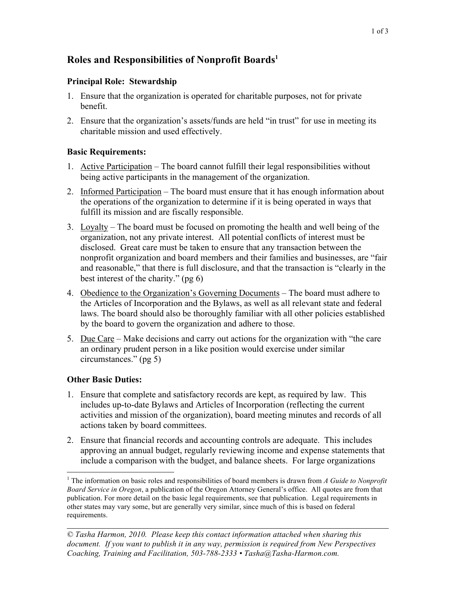# **Roles and Responsibilities of Nonprofit Boards 1**

## **Principal Role: Stewardship**

- 1. Ensure that the organization is operated for charitable purposes, not for private benefit.
- 2. Ensure that the organization's assets/funds are held "in trust" for use in meeting its charitable mission and used effectively.

## **Basic Requirements:**

- 1. Active Participation The board cannot fulfill their legal responsibilities without being active participants in the management of the organization.
- 2. Informed Participation The board must ensure that it has enough information about the operations of the organization to determine if it is being operated in ways that fulfill its mission and are fiscally responsible.
- 3. Loyalty The board must be focused on promoting the health and well being of the organization, not any private interest. All potential conflicts of interest must be disclosed. Great care must be taken to ensure that any transaction between the nonprofit organization and board members and their families and businesses, are "fair and reasonable," that there is full disclosure, and that the transaction is "clearly in the best interest of the charity." (pg 6)
- 4. Obedience to the Organization's Governing Documents The board must adhere to the Articles of Incorporation and the Bylaws, as well as all relevant state and federal laws. The board should also be thoroughly familiar with all other policies established by the board to govern the organization and adhere to those.
- 5. Due Care Make decisions and carry out actions for the organization with "the care" an ordinary prudent person in a like position would exercise under similar circumstances." (pg 5)

# **Other Basic Duties:**

- 1. Ensure that complete and satisfactory records are kept, as required by law. This includes up-to-date Bylaws and Articles of Incorporation (reflecting the current activities and mission of the organization), board meeting minutes and records of all actions taken by board committees.
- 2. Ensure that financial records and accounting controls are adequate. This includes approving an annual budget, regularly reviewing income and expense statements that include a comparison with the budget, and balance sheets. For large organizations

 <sup>1</sup> The information on basic roles and responsibilities of board members is drawn from *<sup>A</sup> Guide to Nonprofit Board Service in Oregon*, a publication of the Oregon Attorney General's office. All quotes are from that publication. For more detail on the basic legal requirements, see that publication. Legal requirements in other states may vary some, but are generally very similar, since much of this is based on federal requirements.

*<sup>©</sup> Tasha Harmon, 2010. Please keep this contact information attached when sharing this document. If you want to publish it in any way, permission is required from New Perspectives Coaching, Training and Facilitation, 503-788-2333 • Tasha@Tasha-Harmon.com.*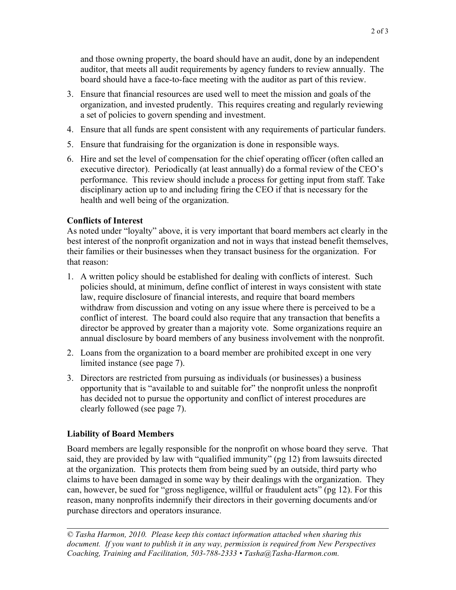and those owning property, the board should have an audit, done by an independent auditor, that meets all audit requirements by agency funders to review annually. The board should have a face-to-face meeting with the auditor as part of this review.

- 3. Ensure that financial resources are used well to meet the mission and goals of the organization, and invested prudently. This requires creating and regularly reviewing a set of policies to govern spending and investment.
- 4. Ensure that all funds are spent consistent with any requirements of particular funders.
- 5. Ensure that fundraising for the organization is done in responsible ways.
- 6. Hire and set the level of compensation for the chief operating officer (often called an executive director). Periodically (at least annually) do a formal review of the CEO's performance. This review should include a process for getting input from staff. Take disciplinary action up to and including firing the CEO if that is necessary for the health and well being of the organization.

## **Conflicts of Interest**

As noted under "loyalty" above, it is very important that board members act clearly in the best interest of the nonprofit organization and not in ways that instead benefit themselves, their families or their businesses when they transact business for the organization. For that reason:

- 1. A written policy should be established for dealing with conflicts of interest. Such policies should, at minimum, define conflict of interest in ways consistent with state law, require disclosure of financial interests, and require that board members withdraw from discussion and voting on any issue where there is perceived to be a conflict of interest. The board could also require that any transaction that benefits a director be approved by greater than a majority vote. Some organizations require an annual disclosure by board members of any business involvement with the nonprofit.
- 2. Loans from the organization to a board member are prohibited except in one very limited instance (see page 7).
- 3. Directors are restricted from pursuing as individuals (or businesses) a business opportunity that is "available to and suitable for" the nonprofit unless the nonprofit has decided not to pursue the opportunity and conflict of interest procedures are clearly followed (see page 7).

# **Liability of Board Members**

Board members are legally responsible for the nonprofit on whose board they serve. That said, they are provided by law with "qualified immunity" (pg 12) from lawsuits directed at the organization. This protects them from being sued by an outside, third party who claims to have been damaged in some way by their dealings with the organization. They can, however, be sued for "gross negligence, willful or fraudulent acts" (pg 12). For this reason, many nonprofits indemnify their directors in their governing documents and/or purchase directors and operators insurance.

*© Tasha Harmon, 2010. Please keep this contact information attached when sharing this document. If you want to publish it in any way, permission is required from New Perspectives Coaching, Training and Facilitation, 503-788-2333 • Tasha@Tasha-Harmon.com.*